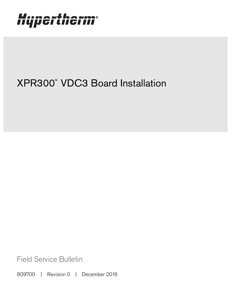# Hypertherm®

## XPR300™ VDC3 Board Installation

Field Service Bulletin

809700 | Revision 0 | December 2016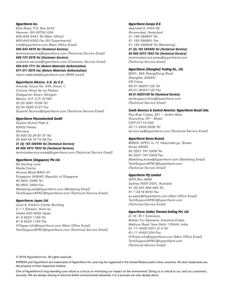#### Hypertherm Inc.

Etna Road, P.O. Box 5010 Hanover, NH 03755 USA 603-643-3441 Tel (Main Office) 603-643-5352 Fax (All Departments) info@hypertherm.com (Main Office Email)

800-643-9878 Tel (Technical Service) technical.service@hypertherm.com (Technical Service Email) 800-737-2978 Tel (Customer Service)

customer.service@hypertherm.com (Customer Service Email)

866-643-7711 Tel (Return Materials Authorization) 877-371-2876 Fax (Return Materials Authorization) return.materials@hypertherm.com (RMA email)

#### Hypertherm México, S.A. de C.V.

Avenida Toluca No. 444, Anexo 1, Colonia Olivar de los Padres Delegación Álvaro Obregón México, D.F. C.P. 01780 52 55 5681 8109 Tel 52 55 5683 2127 Fax Soporte.Tecnico@hypertherm.com (Technical Service Email)

#### Hypertherm Plasmatechnik GmbH

Sophie-Scholl-Platz 5 63452 Hanau **Germany** 00 800 33 24 97 37 Tel 00 800 49 73 73 29 Fax

#### 31 (0) 165 596900 Tel (Technical Service)

00 800 4973 7843 Tel (Technical Service) technicalservice.emea@hypertherm.com (Technical Service Email)

#### Hypertherm (Singapore) Pte Ltd.

82 Genting Lane Media Centre Annexe Block #A01-01 Singapore 349567, Republic of Singapore 65 6841 2489 Tel 65 6841 2490 Fax Marketing.asia@hypertherm.com (Marketing Email) TechSupportAPAC@hypertherm.com (Technical Service Email)

#### Hypertherm Japan Ltd.

Level 9, Edobori Center Building 2-1-1 Edobori, Nishi-ku Osaka 550-0002 Japan 81 6 6225 1183 Tel 81 6 6225 1184 Fax HTJapan.info@hypertherm.com (Main Office Email) TechSupportAPAC@hypertherm.com (Technical Service Email)

#### Hypertherm Europe B.V.

Vaartveld 9, 4704 SE Roosendaal, Nederland 31 165 596907 Tel 31 165 596901 Fax 31 165 596908 Tel (Marketing) 31 (0) 165 596900 Tel (Technical Service) 00 800 4973 7843 Tel (Technical Service)

technicalservice.emea@hypertherm.com (Technical Service Email)

#### Hypertherm (Shanghai) Trading Co., Ltd.

B301, 495 ShangZhong Road Shanghai, 200231 PR China 86-21-80231122 Tel 86-21-80231120 Fax

86-21-80231128 Tel (Technical Service) techsupport.china@hypertherm.com (Technical Service Email)

#### South America & Central America: Hypertherm Brasil Ltda.

Rua Bras Cubas, 231 – Jardim Maia Guarulhos, SP – Brasil CEP 07115-030 55 11 2409 2636 Tel tecnico.sa@hypertherm.com (Technical Service Email)

#### Hypertherm Korea Branch

#3904. APEC-ro 17. Heaundae-gu. Busan. Korea 48060 82 (0)51 747 0358 Tel 82 (0)51 701 0358 Fax Marketing.korea@hypertherm.com (Marketing Email) TechSupportAPAC@hypertherm.com (Technical Service Email)

#### Hypertherm Pty Limited

GPO Box 4836 Sydney NSW 2001, Australia 61 (0) 437 606 995 Tel 61 7 3219 9010 Fax au.sales@Hypertherm.com (Main Office Email) TechSupportAPAC@hypertherm.com (Technical Service Email)

#### Hypertherm (India) Thermal Cutting Pvt. Ltd

A-18 / B-1 Extension, Mohan Co-Operative Industrial Estate, Mathura Road, New Delhi 110044, India 91-11-40521201/ 2/ 3 Tel 91-11 40521204 Fax HTIndia.info@hypertherm.com (Main Office Email) TechSupportAPAC@hypertherm.com (Technical Service Email)

© 2016 Hypertherm Inc. All rights reserved.

XPR300 and Hypertherm are trademarks of Hypertherm Inc. and may be registered in the United States and/or other countries. All other trademarks are the property of their respective holders.

One of Hypertherm's long-standing core values is a focus on minimizing our impact on the environment. Doing so is critical to our, and our customers', success. We are always striving to become better environmental stewards; it is a process we care deeply about.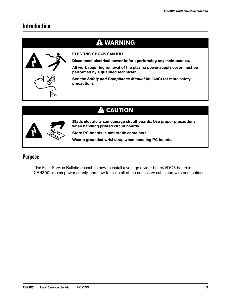## **Introduction**

## **WARNING**



#### **ELECTRIC SHOCK CAN KILL**

**Disconnect electrical power before performing any maintenance.**

**All work requiring removal of the plasma power supply cover must be performed by a qualified technician.**

**See the Safety and Compliance Manual (80669C) for more safety precautions.**

## **A** CAUTION



**Static electricity can damage circuit boards. Use proper precautions when handling printed circuit boards.**

**Store PC boards in anti-static containers.**

**Wear a grounded wrist strap when handling PC boards.**

### **Purpose**

This Field Service Bulletin describes how to install a voltage divider board/VDC3 board in an XPR300 plasma power supply, and how to make all of the necessary cable and wire connections.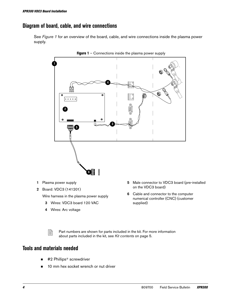## **Diagram of board, cable, and wire connections**

See [Figure](#page-3-0) 1 for an overview of the board, cable, and wire connections inside the plasma power supply.

<span id="page-3-0"></span>

- 1 Plasma power supply
- 2 Board: VDC3 (141201)

Wire harness in the plasma power supply

- 3 Wires: VDC3 board 120 VAC
- 4 Wires: Arc voltage
- 5 Male connector to VDC3 board (pre-installed on the VDC3 board)
- 6 Cable and connector to the computer numerical controller (CNC) (customer supplied)

 $\mathbb{R}$  Part numbers are shown for parts included in the kit. For more information about parts included in the kit, see [Kit contents](#page-4-0) on page 5.

## **Tools and materials needed**

- #2 Phillips<sup>®</sup> screwdriver
- 10 mm hex socket wrench or nut driver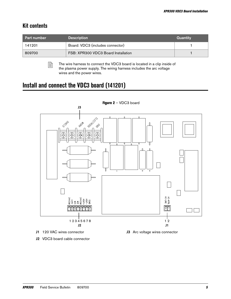## <span id="page-4-0"></span>**Kit contents**

| <b>Part number</b> | <b>Description</b>                  | Quantity |
|--------------------|-------------------------------------|----------|
| 141201             | Board: VDC3 (includes connector)    |          |
| 809700             | FSB: XPR300 VDC3 Board Installation |          |

 $\Box$  The wire harness to connect the VDC3 board is located in a clip inside of the plasma power supply. The wiring harness includes the arc voltage wires and the power wires.

## **Install and connect the VDC3 board (141201)**

<span id="page-4-1"></span>

J2 VDC3 board cable connector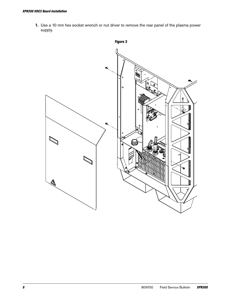1. Use a 10 mm hex socket wrench or nut driver to remove the rear panel of the plasma power supply.

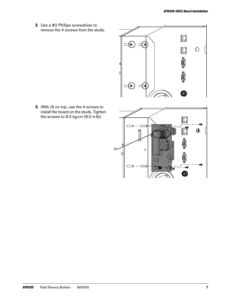2. Use a #2 Phillips screwdriver to remove the 4 screws from the studs.



**3.** With J3 on top, use the 4 screws to install the board on the studs. Tighten the screws to 9.2 kg∙cm (8.0 in∙lb).

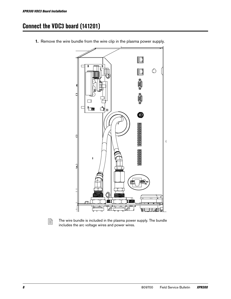## **Connect the VDC3 board (141201)**



1. Remove the wire bundle from the wire clip in the plasma power supply.



 $\Box$  The wire bundle is included in the plasma power supply. The bundle includes the arc voltage wires and power wires.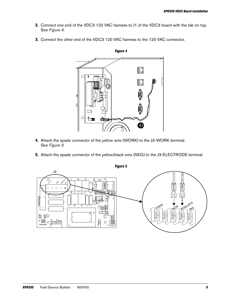- 2. Connect one end of the VDC3 120 VAC harness to J1 of the VDC3 board with the tab on top. See [Figure 4](#page-8-0).
- <span id="page-8-0"></span>3. Connect the other end of the VDC3 120 VAC harness to the 120 VAC connector.



- 4. Attach the spade connector of the yellow wire (WORK) to the J3-WORK terminal. See Figure 5.
- 5. Attach the spade connector of the yellow/black wire (NEG) to the J3-ELECTRODE terminal.